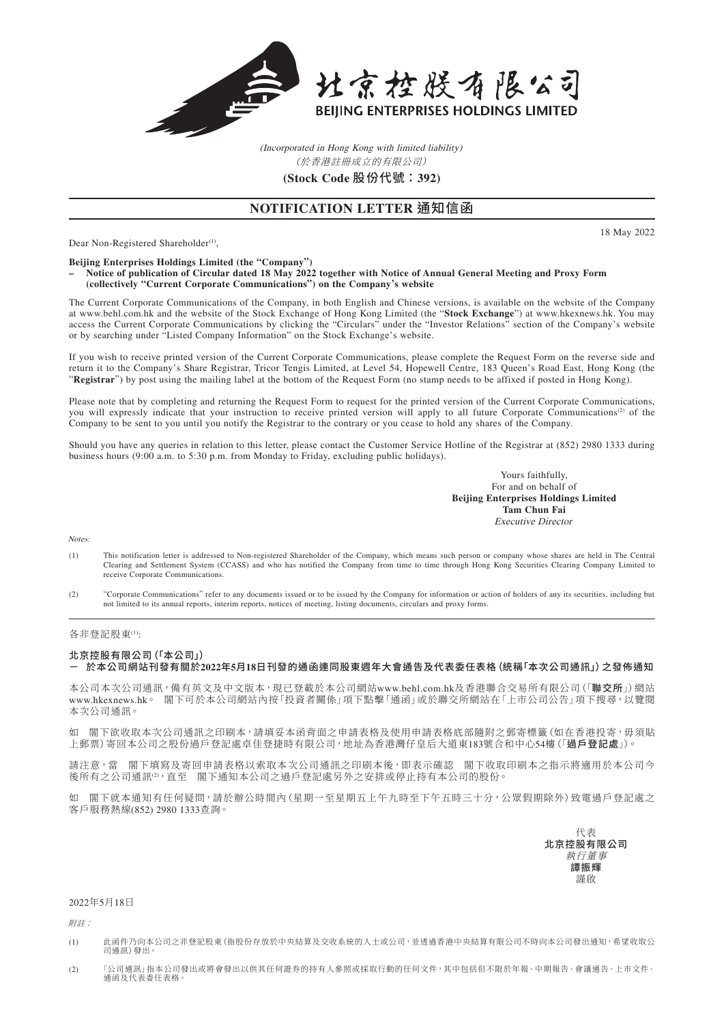

(Incorporated in Hong Kong with limited liability) **(Stock Code** 股份代號:**392)** (於香港註冊成立的有限公司)

## **NOTIFICATION LETTER** 通知信函

Dear Non-Registered Shareholder<sup>(1)</sup>,

**Beijing Enterprises Holdings Limited (the "Company")**

#### **– Notice of publication of Circular dated 18 May 2022 together with Notice of Annual General Meeting and Proxy Form (collectively "Current Corporate Communications") on the Company's website**

The Current Corporate Communications of the Company, in both English and Chinese versions, is available on the website of the Company at www.behl.com.hk and the website of the Stock Exchange of Hong Kong Limited (the "**Stock Exchange**") at www.hkexnews.hk. You may access the Current Corporate Communications by clicking the "Circulars" under the "Investor Relations" section of the Company's website or by searching under "Listed Company Information" on the Stock Exchange's website.

If you wish to receive printed version of the Current Corporate Communications, please complete the Request Form on the reverse side and return it to the Company's Share Registrar, Tricor Tengis Limited, at Level 54, Hopewell Centre, 183 Queen's Road East, Hong Kong (the "**Registrar**") by post using the mailing label at the bottom of the Request Form (no stamp needs to be affixed if posted in Hong Kong).

Please note that by completing and returning the Request Form to request for the printed version of the Current Corporate Communications, you will expressly indicate that your instruction to receive printed version will apply to all future Corporate Communications<sup>(2)</sup> of the Company to be sent to you until you notify the Registrar to the contrary or you cease to hold any shares of the Company.

Should you have any queries in relation to this letter, please contact the Customer Service Hotline of the Registrar at (852) 2980 1333 during business hours (9:00 a.m. to 5:30 p.m. from Monday to Friday, excluding public holidays).

> Yours faithfully, For and on behalf of **Beijing Enterprises Holdings Limited Tam Chun Fai** Executive Director

Notes:

- (1) This notification letter is addressed to Non-registered Shareholder of the Company, which means such person or company whose shares are held in The Central Clearing and Settlement System (CCASS) and who has notified the Company from time to time through Hong Kong Securities Clearing Company Limited to receive Corporate Communications.
- (2) "Corporate Communications" refer to any documents issued or to be issued by the Company for information or action of holders of any its securities, including but not limited to its annual reports, interim reports, notices of meeting, listing documents, circulars and proxy forms.

#### 各非登記股東(1):

### 北京控股有限公司(「本公司」) - 於本公司網站刊發有關於**2022**年**5**月**18**日刊發的通函連同股東週年大會通告及代表委任表格(統稱「本次公司通訊」)之發佈通知

本公司本次公司通訊,備有英文及中文版本,現已登載於本公司網站www.behl.com.hk及香港聯合交易所有限公司(「聯交所」)網站 www.hkexnews.hk。 閣下可於本公司網站內按「投資者關係」項下點擊「通函」或於聯交所網站在「上市公司公告」項下搜尋,以覽閱 本次公司通訊。

如 閣下欲收取本次公司通訊之印刷本,請填妥本函背面之申請表格及使用申請表格底部隨附之郵寄標籤(如在香港投寄,毋須貼 上郵票)寄回本公司之股份過戶登記處卓佳登捷時有限公司,地址為香港灣仔皇后大道東183號合和中心54樓(「過戶登記處」)。

請注意,當 閣下填寫及寄回申請表格以索取本次公司通訊之印刷本後,即表示確認 閣下收取印刷本之指示將適用於本公司今 後所有之公司通訊(2),直至 閣下通知本公司之過戶登記處另外之安排或停止持有本公司的股份。

如 閣下就本通知有任何疑問,請於辦公時間內(星期一至星期五上午九時至下午五時三十分,公眾假期除外)致電過戶登記處之 客戶服務熱線(852) 2980 1333查詢。

> 代表 北京控股有限公司 執行董事 譚振輝 謹啟

#### 2022年5月18日

附註:

- (1) 此函件乃向本公司之非登記股東(指股份存放於中央結算及交收系統的人士或公司,並透過香港中央結算有限公司不時向本公司發出通知,希望收取公 司通訊)發出。
- (2) 「公司通訊」指本公司發出或將會發出以供其任何證券的持有人參照或採取行動的任何文件,其中包括但不限於年報、中期報告、會議通告、上市文件、 通函及代表委任表格。

18 May 2022